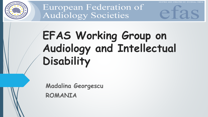

# **EFAS Working Group on Audiology and Intellectual Disability**

HOSTED AND CREATED BY ZWONULL MEDIA

**Madalina Georgescu ROMANIA**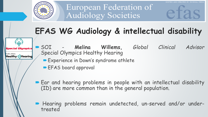

## **EFAS WG Audiology & intellectual disability**

pecial Olympics

**Healthy Athletes** Healthy)) Hearing  SOI - **Melina Willems,** *Global Clinical Advisor* Special Olympics Healthy Hearing

AND CREATED BY ZWONULL.

- Experience in Down's syndrome athlete
- EFAS board approval
- **Ear and hearing problems in people with an intellectual disability** (ID) are more common than in the general population.
- Hearing problems remain undetected, un-served and/or undertreated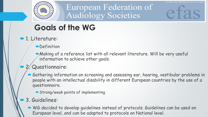STED AND CREATED BY ZWONULL MED

#### **Goals of the WG**

- **1.** Literature:
	- **Definition**
	- Making of a reference list with all relevant literature. Will be very useful information to achieve other goals.

#### 2. Questionnaire:

- Gathering information on screening and assessing ear, hearing, vestibular problems in people with an intellectual disability in different European countries by the use of a questionnaire.
	- Strong/weak points of implementing
- 3. Guidelines:
	- WG decided to develop quidelines instead of protocols. Guidelines can be used on European level, and can be adapted to protocols on National level.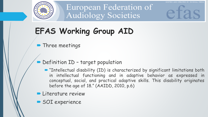

## **EFAS Working Group AID**

#### **• Three meetings**

- Definition ID target population
	- "Intellectual disability (ID) is characterized by significant limitations both in intellectual functioning and in adaptive behavior as expressed in conceptual, social, and practical adaptive skills. This disability originates before the age of 18." (AAIDD, 2010, p.6)

OSTED AND CREATED BY ZWONULL MEDI

- **Literature review**
- SOI experience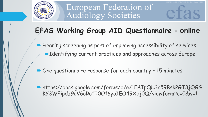

#### **EFAS Working Group AID Questionnaire - online**

- Hearing screening as part of improving accessibility of services ■Identifying current practices and approaches across Europe
- One questionnaire response for each country 15 minutes
- https://docs.google.com/forms/d/e/1FAIpQLSc59BskPGT3jQGG KY3WFipdz9uV6oRo1T0O16yoIEO49Xbj0Q/viewform?c=0&w=1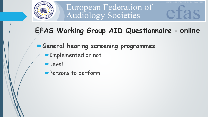

#### **EFAS Working Group AID Questionnaire - online**

OSTED AND CREATED BY ZWONULL MEDI

- **General hearing screening programmes**
	- **Implemented or not**
	- **Level**
	- **Persons to perform**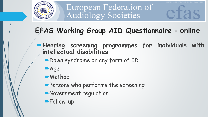

#### **EFAS Working Group AID Questionnaire - online**

**Hearing screening programmes for individuals with intellectual disabilities**

AND CREATED BY ZWONULL MED

- Down syndrome or any form of ID
- Age
- **Method**
- **Persons who performs the screening**
- **Government regulation**
- **Follow-up**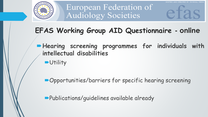

#### **EFAS Working Group AID Questionnaire - online**

- **Hearing screening programmes for individuals with intellectual disabilities**
	- Utility

Opportunities/barriers for specific hearing screening

Publications/guidelines available already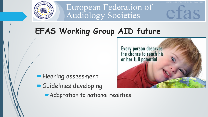

### **EFAS Working Group AID future**

**Hearing assessment** Guidelines developing



AND CREATED BY ZWONULL MED

Adaptation to national realities